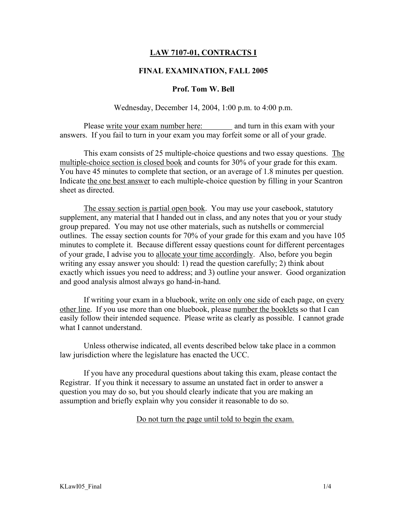## LAW 7107-01, CONTRACTS I

### FINAL EXAMINATION, FALL 2005

#### Prof. Tom W. Bell

Wednesday, December 14, 2004, 1:00 p.m. to 4:00 p.m.

Please write your exam number here: and turn in this exam with your answers. If you fail to turn in your exam you may forfeit some or all of your grade.

This exam consists of 25 multiple-choice questions and two essay questions. The multiple-choice section is closed book and counts for 30% of your grade for this exam. You have 45 minutes to complete that section, or an average of 1.8 minutes per question. Indicate the one best answer to each multiple-choice question by filling in your Scantron sheet as directed.

The essay section is partial open book. You may use your casebook, statutory supplement, any material that I handed out in class, and any notes that you or your study group prepared. You may not use other materials, such as nutshells or commercial outlines. The essay section counts for 70% of your grade for this exam and you have 105 minutes to complete it. Because different essay questions count for different percentages of your grade, I advise you to allocate your time accordingly. Also, before you begin writing any essay answer you should: 1) read the question carefully; 2) think about exactly which issues you need to address; and 3) outline your answer. Good organization and good analysis almost always go hand-in-hand.

If writing your exam in a bluebook, write on only one side of each page, on every other line. If you use more than one bluebook, please number the booklets so that I can easily follow their intended sequence. Please write as clearly as possible. I cannot grade what I cannot understand.

Unless otherwise indicated, all events described below take place in a common law jurisdiction where the legislature has enacted the UCC.

If you have any procedural questions about taking this exam, please contact the Registrar. If you think it necessary to assume an unstated fact in order to answer a question you may do so, but you should clearly indicate that you are making an assumption and briefly explain why you consider it reasonable to do so.

Do not turn the page until told to begin the exam.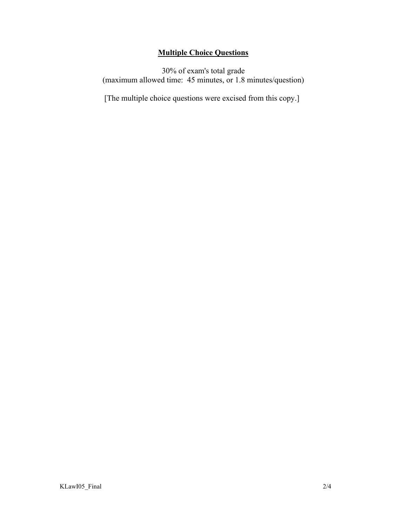# Multiple Choice Questions

30% of exam's total grade (maximum allowed time: 45 minutes, or 1.8 minutes/question)

[The multiple choice questions were excised from this copy.]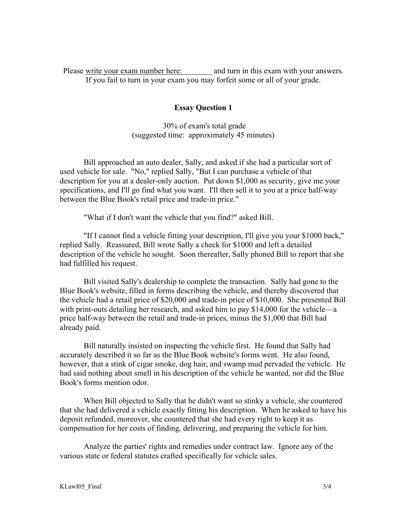Please write your exam number here: and turn in this exam with your answers. If you fail to turn in your exam you may forfeit some or all of your grade.

### Essay Question 1

 30% of exam's total grade (suggested time: approximately 45 minutes)

Bill approached an auto dealer, Sally, and asked if she had a particular sort of used vehicle for sale. "No," replied Sally, "But I can purchase a vehicle of that description for you at a dealer-only auction. Put down \$1,000 as security, give me your specifications, and I'll go find what you want. I'll then sell it to you at a price half-way between the Blue Book's retail price and trade-in price."

"What if I don't want the vehicle that you find?" asked Bill.

"If I cannot find a vehicle fitting your description, I'll give you your \$1000 back," replied Sally. Reassured, Bill wrote Sally a check for \$1000 and left a detailed description of the vehicle he sought. Soon thereafter, Sally phoned Bill to report that she had fulfilled his request.

Bill visited Sally's dealership to complete the transaction. Sally had gone to the Blue Book's website, filled in forms describing the vehicle, and thereby discovered that the vehicle had a retail price of \$20,000 and trade-in price of \$10,000. She presented Bill with print-outs detailing her research, and asked him to pay \$14,000 for the vehicle—a price half-way between the retail and trade-in prices, minus the \$1,000 that Bill had already paid.

Bill naturally insisted on inspecting the vehicle first. He found that Sally had accurately described it so far as the Blue Book website's forms went. He also found, however, that a stink of cigar smoke, dog hair, and swamp mud pervaded the vehicle. He had said nothing about smell in his description of the vehicle he wanted, nor did the Blue Book's forms mention odor.

When Bill objected to Sally that he didn't want so stinky a vehicle, she countered that she had delivered a vehicle exactly fitting his description. When he asked to have his deposit refunded, moreover, she countered that she had every right to keep it as compensation for her costs of finding, delivering, and preparing the vehicle for him.

Analyze the parties' rights and remedies under contract law. Ignore any of the various state or federal statutes crafted specifically for vehicle sales.